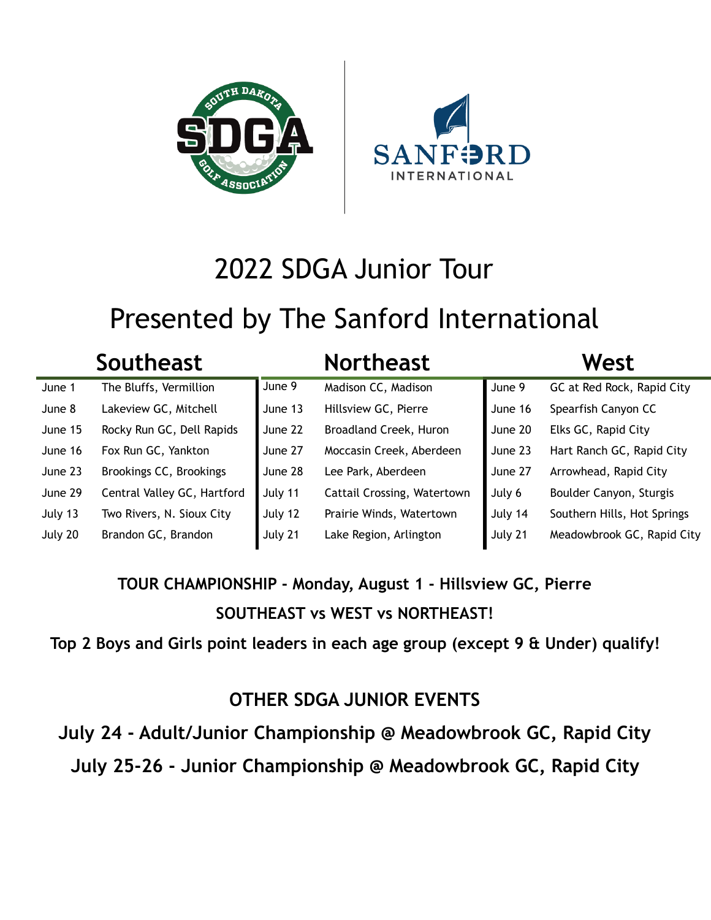



# 2022 SDGA Junior Tour

# Presented by The Sanford International

|         | <b>Southeast</b>            |         | <b>Northeast</b>            |         | West                        |
|---------|-----------------------------|---------|-----------------------------|---------|-----------------------------|
| June 1  | The Bluffs, Vermillion      | June 9  | Madison CC, Madison         | June 9  | GC at Red Rock, Rapid City  |
| June 8  | Lakeview GC, Mitchell       | June 13 | Hillsview GC, Pierre        | June 16 | Spearfish Canyon CC         |
| June 15 | Rocky Run GC, Dell Rapids   | June 22 | Broadland Creek, Huron      | June 20 | Elks GC, Rapid City         |
| June 16 | Fox Run GC, Yankton         | June 27 | Moccasin Creek, Aberdeen    | June 23 | Hart Ranch GC, Rapid City   |
| June 23 | Brookings CC, Brookings     | June 28 | Lee Park, Aberdeen          | June 27 | Arrowhead, Rapid City       |
| June 29 | Central Valley GC, Hartford | July 11 | Cattail Crossing, Watertown | July 6  | Boulder Canyon, Sturgis     |
| July 13 | Two Rivers, N. Sioux City   | July 12 | Prairie Winds, Watertown    | July 14 | Southern Hills, Hot Springs |
| July 20 | Brandon GC, Brandon         | July 21 | Lake Region, Arlington      | July 21 | Meadowbrook GC, Rapid City  |

## **TOUR CHAMPIONSHIP - Monday, August 1 - Hillsview GC, Pierre SOUTHEAST vs WEST vs NORTHEAST!**

**Top 2 Boys and Girls point leaders in each age group (except 9 & Under) qualify!**

#### **OTHER SDGA JUNIOR EVENTS**

**July 24 - Adult/Junior Championship @ Meadowbrook GC, Rapid City July 25-26 - Junior Championship @ Meadowbrook GC, Rapid City**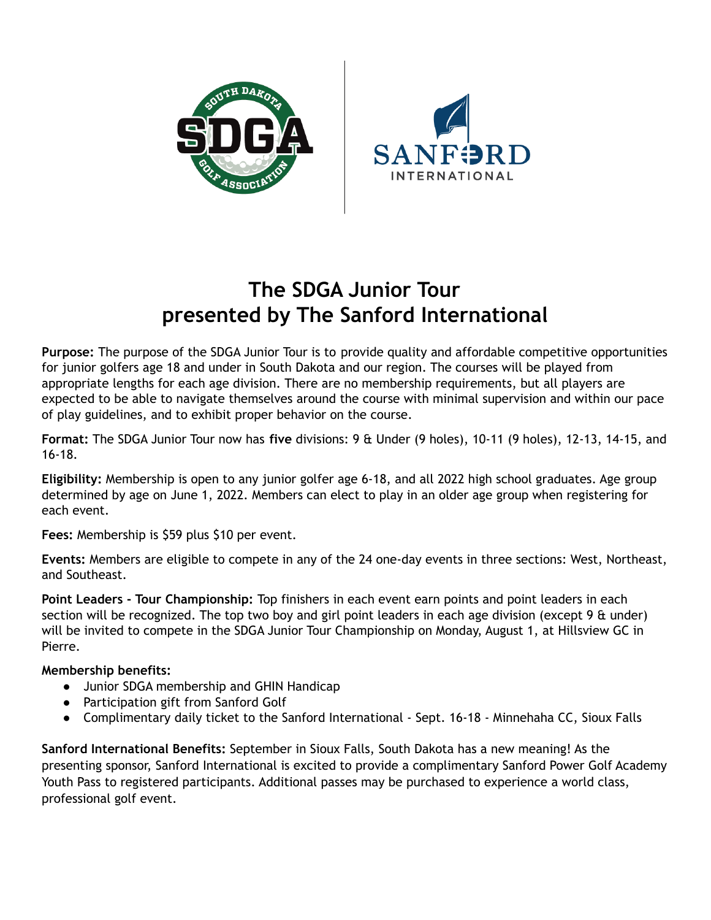



## **The SDGA Junior Tour presented by The Sanford International**

**Purpose:** The purpose of the SDGA Junior Tour is to provide quality and affordable competitive opportunities for junior golfers age 18 and under in South Dakota and our region. The courses will be played from appropriate lengths for each age division. There are no membership requirements, but all players are expected to be able to navigate themselves around the course with minimal supervision and within our pace of play guidelines, and to exhibit proper behavior on the course.

**Format:** The SDGA Junior Tour now has **five** divisions: 9 & Under (9 holes), 10-11 (9 holes), 12-13, 14-15, and 16-18.

**Eligibility:** Membership is open to any junior golfer age 6-18, and all 2022 high school graduates. Age group determined by age on June 1, 2022. Members can elect to play in an older age group when registering for each event.

**Fees:** Membership is \$59 plus \$10 per event.

**Events:** Members are eligible to compete in any of the 24 one-day events in three sections: West, Northeast, and Southeast.

**Point Leaders - Tour Championship:** Top finishers in each event earn points and point leaders in each section will be recognized. The top two boy and girl point leaders in each age division (except 9 & under) will be invited to compete in the SDGA Junior Tour Championship on Monday, August 1, at Hillsview GC in Pierre.

#### **Membership benefits:**

- Junior SDGA membership and GHIN Handicap
- Participation gift from Sanford Golf
- Complimentary daily ticket to the Sanford International Sept. 16-18 Minnehaha CC, Sioux Falls

**Sanford International Benefits:** September in Sioux Falls, South Dakota has a new meaning! As the presenting sponsor, Sanford International is excited to provide a complimentary Sanford Power Golf Academy Youth Pass to registered participants. Additional passes may be purchased to experience a world class, professional golf event.